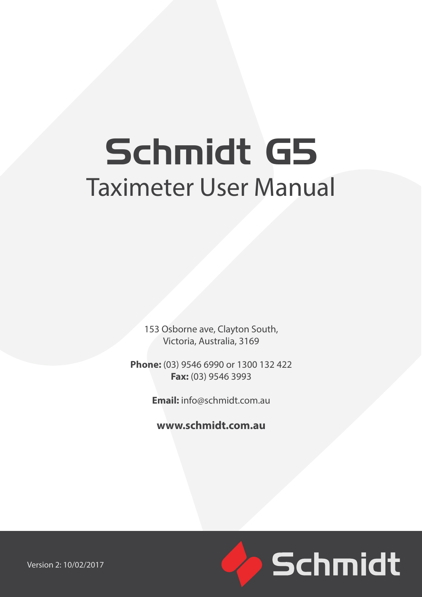# Schmidt G5 Taximeter User Manual

153 Osborne ave, Clayton South, Victoria, Australia, 3169

**Phone:** (03) 9546 6990 or 1300 132 422 **Fax:** (03) 9546 3993

**Email:** info@schmidt.com.au

**www.schmidt.com.au**



Version 2: 10/02/2017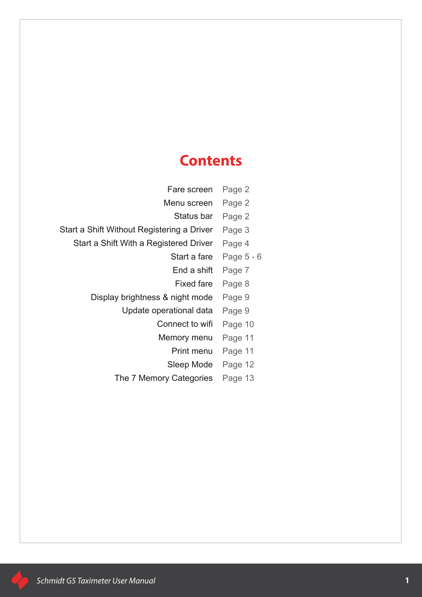# **Contents**

| Fare screen                                | Page 2     |
|--------------------------------------------|------------|
| Menu screen                                | Page 2     |
| Status bar                                 | Page 2     |
| Start a Shift Without Registering a Driver | Page 3     |
| Start a Shift With a Registered Driver     | Page 4     |
| Start a fare                               | Page 5 - 6 |
| End a shift                                | Page 7     |
| <b>Fixed fare</b>                          | Page 8     |
| Display brightness & night mode            | Page 9     |
| Update operational data                    | Page 9     |
| Connect to wifi                            | Page 10    |
| Memory menu                                | Page 11    |
| Print menu                                 | Page 11    |
| Sleep Mode                                 | Page 12    |
| The 7 Memory Categories                    | Page 13    |
|                                            |            |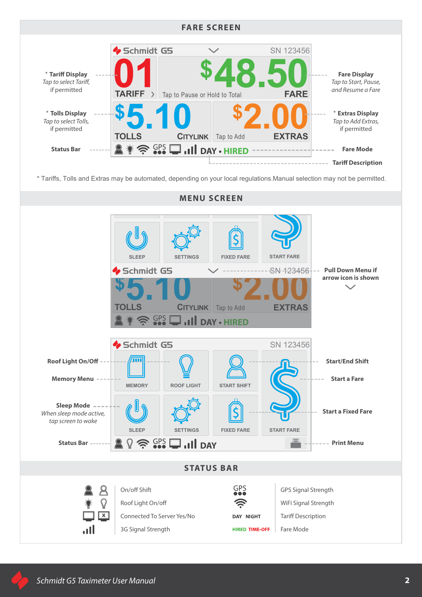

\* Tariffs, Tolls and Extras may be automated, depending on your local regulations.Manual selection may not be permitted.

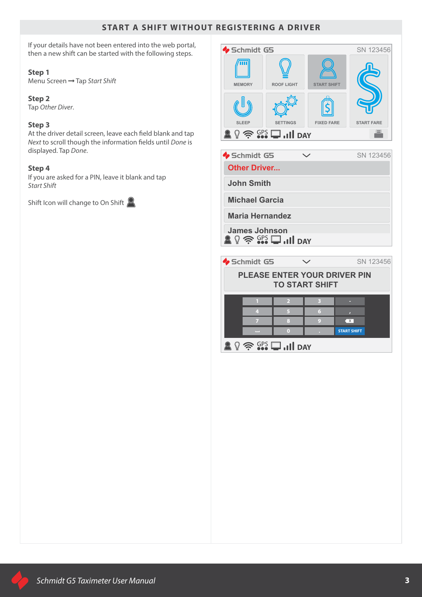# **START A SHIFT WITHOUT REGISTERING A DRIVER**

If your details have not been entered into the web portal, then a new shift can be started with the following steps.

#### **Step 1**

Menu Screen → Tap Start Shift

# **Step 2**

Tap *Other Diver*.

## **Step 3**

At the driver detail screen, leave each field blank and tap *Next* to scroll though the information fields until *Done* is displayed. Tap *Done*.

#### **Step 4**

If you are asked for a PIN, leave it blank and tap *Start Shift*

Shift Icon will change to On Shift

| Schmidt G5    |                                       |                    | SN 123456         |
|---------------|---------------------------------------|--------------------|-------------------|
| <b>MEMORY</b> | <b>ROOF LIGHT</b>                     | <b>START SHIFT</b> |                   |
|               |                                       |                    |                   |
| <b>SLEEP</b>  | <b>SETTINGS</b>                       | <b>FIXED FARE</b>  | <b>START FARE</b> |
|               | $\frac{1}{2}$ $\frac{GPS}{G}$ Ill day |                    | -                 |

 $\bullet$  Schmidt G5  $\quad \vee$  SN 123456

**Other Driver...**

**John Smith**

**Michael Garcia**

**Maria Hernandez**

 $\mathbb{R} \mathbb{Q} \cong \mathbb{S}^{\text{CPS}}$  **DAY James Johnson**

 $\bullet$  Schmidt G5  $\bullet$  SN 123456

# **PLEASE ENTER YOUR DRIVER PIN TO START SHIFT**

|  |  | <b>START SHIFT</b> |
|--|--|--------------------|
|  |  |                    |
|  |  |                    |
|  |  |                    |
|  |  |                    |

 $\mathbb{R} \mathbb{Q} \cong \mathbb{S}^{\text{PS}}$   $\Box$  ...III DAY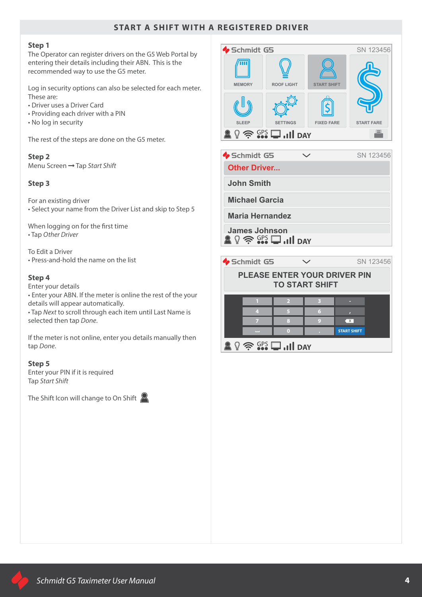# **START A SHIFT WITH A REGISTERED DRIVER**

#### **Step 1**

The Operator can register drivers on the G5 Web Portal by entering their details including their ABN. This is the recommended way to use the G5 meter.

Log in security options can also be selected for each meter. These are:

- Driver uses a Driver Card
- Providing each driver with a PIN
- No log in security

The rest of the steps are done on the G5 meter.

#### **Step 2**

Menu Screen Tap *Start Shift*

#### **Step 3**

For an existing driver • Select your name from the Driver List and skip to Step 5

When logging on for the first time • Tap *Other Driver*

To Edit a Driver • Press-and-hold the name on the list

#### **Step 4**

Enter your details

• Enter your ABN. If the meter is online the rest of the your details will appear automatically.

• Tap *Next* to scroll through each item until Last Name is selected then tap *Done*.

If the meter is not online, enter you details manually then tap *Done*.

#### **Step 5**

Enter your PIN if it is required Tap *Start Shift*

The Shift Icon will change to On Shift  $\mathbb{R}$ 

![](_page_4_Picture_22.jpeg)

 $\bullet$  Schmidt G5  $\checkmark$  SN 123456

**Other Driver...**

**John Smith**

**Michael Garcia**

**Maria Hernandez**

 $\mathbb{R} \mathbb{Q} \cong \mathbb{S}^{\text{PS}}$   $\square$  ...III day **James Johnson**

 $\bullet$  Schmidt G5  $\checkmark$  SN 123456

# **PLEASE ENTER YOUR DRIVER PIN TO START SHIFT**

|  | Y                  |
|--|--------------------|
|  | <b>START SHIFT</b> |

 $\mathbb{R} \mathbb{Q} \widehat{\mathbb{R}}$   $\mathbb{S} \mathbb{D}$  ...Il pay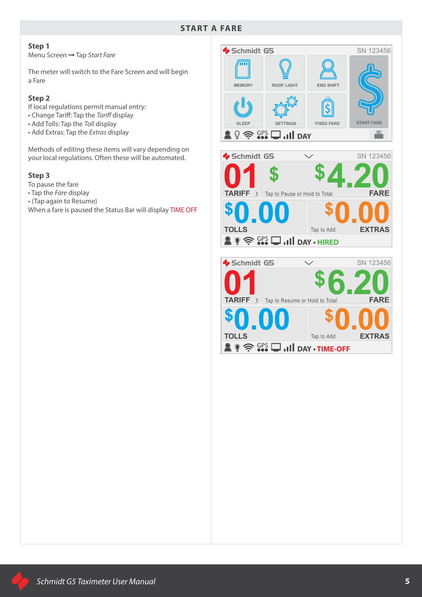#### **START A FARE**

#### **Step 1**

Menu Screen Tap *Start Fare*

The meter will switch to the Fare Screen and will begin a Fare

#### **Step 2**

If local regulations permit manual entry:

- Change Tariff: Tap the *Tariff* display
- Add Tolls: Tap the *Toll* display
- Add Extras: Tap the *Extras* display

Methods of editing these items will vary depending on your local regulations. Often these will be automated.

#### **Step 3**

- To pause the fare
- Tap the *Fare* display
- (Tap again to Resume)

When a fare is paused the Status Bar will display TIME OFF

Schmidt G5 SN 123456  $\overline{\mathbf{m}}$ **MEMORY ROOF LIGHT END SHIFT**  $\widetilde{\bm{\varsigma}}$ **SLEEP SETTINGS FIXED FARE START FARE**  $\mathbb{Q} \widehat{\mathbb{R}}$   $\widehat{\mathbb{G}}$ <sup>ps</sup>  $\Box$  . Ill day  $\blacksquare$ Schmidt G5 SN 123456  $\overline{\phantom{0}}$ **01 \$4.20**<br>TARIFF >  $\frac{1}{2}$  Tap to Pause or Hold to Total **\$ \$ TARIFF FARE \$ 0.00 \$ EXTRAS 0.00 TOLLS**  Tap to Add **DAY • HIRED**  $\blacklozenge$  Schmidt G5 SN 123456 **01 6.20 6.20 1 6.20 6.20 6.20 6.42 \$ TARIFF**  $\sum$  Tap to Resume or Hold to Total **FARE \$ 0.00 \$ 0.00 TOLLS**  Tap to Add**EXTRAS**  $\mathbb{R} \ast \widehat{\mathbb{R}}$   $\widehat{\mathbb{S}}$   $\Omega$   $\square$  , iii day  $\cdot$  time-off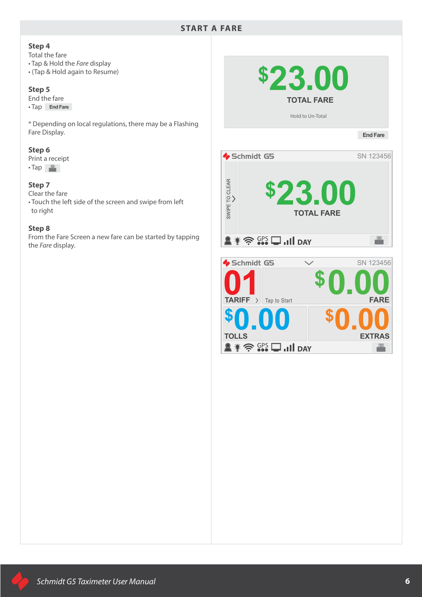#### **Step 4**

Total the fare

- Tap & Hold the *Fare* display
- (Tap & Hold again to Resume)

#### **Step 5**

End the fare

• Tap **End Fare**

\* Depending on local regulations, there may be a Flashing Fare Display.

#### **Step 6**

Print a receipt  $\cdot$ Tap $\Box$ 

#### **Step 7**

Clear the fare

• Touch the left side of the screen and swipe from left to right

#### **Step 8**

From the Fare Screen a new fare can be started by tapping the *Fare* display.

![](_page_6_Picture_16.jpeg)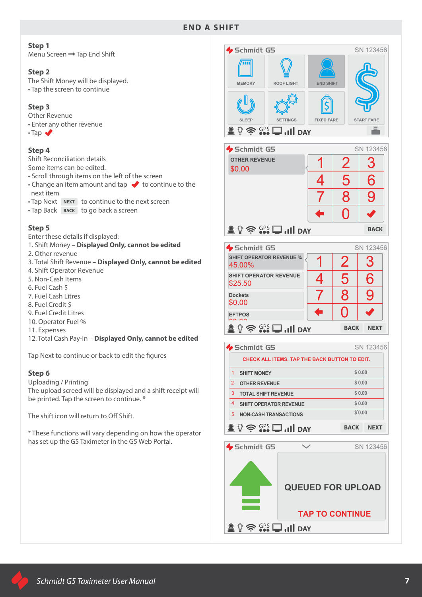# **END A SHIFT**

#### **Step 1**

Menu Screen → Tap End Shift

#### **Step 2**

The Shift Money will be displayed. • Tap the screen to continue

#### **Step 3**

Other Revenue • Enter any other revenue

 $\cdot$ Tap  $\blacktriangleright$ 

#### **Step 4**

Shift Reconciliation details

- Some items can be edited.
- Scroll through items on the left of the screen
- $\cdot$  Change an item amount and tap  $\blacklozenge$  to continue to the next item
- Tap Next NEXT to continue to the next screen
- Tap Back BACK to go back a screen

#### **Step 5**

Enter these details if displayed:

- 1. Shift Money **Displayed Only, cannot be edited**
- 2. Other revenue
- 3. Total Shift Revenue **Displayed Only, cannot be edited**
- 4. Shift Operator Revenue
- 5. Non-Cash Items
- 6. Fuel Cash \$
- 7. Fuel Cash Litres
- 8. Fuel Credit \$
- 9. Fuel Credit Litres
- 10. Operator Fuel %
- 11. Expenses
- 12. Total Cash Pay-In **Displayed Only, cannot be edited**

Tap Next to continue or back to edit the figures

#### **Step 6**

Uploading / Printing

The upload screed will be displayed and a shift receipt will be printed. Tap the screen to continue. \*

The shift icon will return to Off Shift.

\* These functions will vary depending on how the operator has set up the G5 Taximeter in the G5 Web Portal.

![](_page_7_Picture_35.jpeg)

| Schmidt G5                                      |   |   | SN 123456   |
|-------------------------------------------------|---|---|-------------|
| <b>OTHER REVENUE</b><br>\$0.00                  |   | 2 | З           |
|                                                 | 4 | 5 | 6           |
|                                                 |   | 8 | 9           |
|                                                 | E |   |             |
| $\mathbb{Q} \Leftrightarrow$ GPS $\Box$ all day |   |   | <b>BACK</b> |
|                                                 |   |   |             |

| Schmidt G5                                                                |   |                            | SN 123456   |
|---------------------------------------------------------------------------|---|----------------------------|-------------|
| <b>SHIFT OPERATOR REVENUE %</b><br>45.00%                                 |   | $\boldsymbol{\mathcal{P}}$ | З           |
| <b>SHIFT OPERATOR REVENUE</b><br>\$25.50                                  | 4 | 5                          | 6           |
| <b>Dockets</b><br>\$0.00                                                  |   | 8                          | 9           |
| <b>EFTPOS</b><br>0000                                                     | Π |                            |             |
| $\widehat{\mathbb{R}}$ $\widehat{\mathbb{C}}$ <sup>PS</sup> $\Box$ Il DAY |   | <b>BACK</b>                | <b>NFXT</b> |

|   | <b>Schmidt G5</b>                                                  |             | SN 123456   |
|---|--------------------------------------------------------------------|-------------|-------------|
|   | <b>CHECK ALL ITEMS. TAP THE BACK BUTTON TO EDIT.</b>               |             |             |
| 1 | <b>SHIFT MONEY</b>                                                 | \$0.00      |             |
| 2 | <b>OTHER REVENUE</b>                                               | \$0.00      |             |
| 3 | <b>TOTAL SHIFT REVENUE</b>                                         | \$0.00      |             |
| 4 | <b>SHIFT OPERATOR REVENUE</b>                                      | \$0.00      |             |
| 5 | <b>NON-CASH TRANSACTIONS</b>                                       | \$0.00      |             |
|   | $\widehat{\mathcal{F}}$ $\widehat{\mathsf{SPS}}$ $\Box$ $\Box$ DAY | <b>RACK</b> | <b>NFXT</b> |

![](_page_7_Figure_39.jpeg)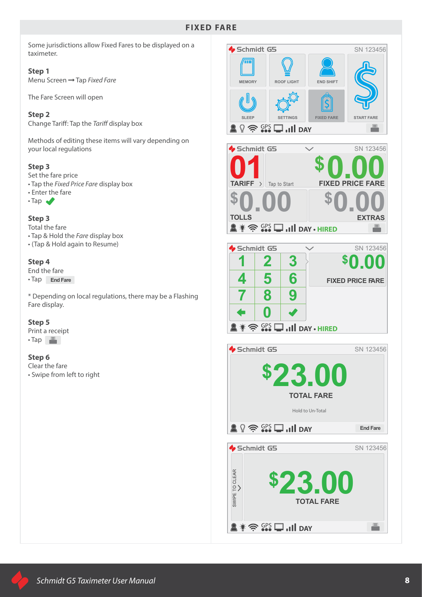# **FIXED FARE**

Some jurisdictions allow Fixed Fares to be displayed on a taximeter.

#### **Step 1**

Menu Screen Tap *Fixed Fare*

The Fare Screen will open

#### **Step 2**

Change Tariff: Tap the *Tariff* display box

Methods of editing these items will vary depending on your local regulations

#### **Step 3**

Set the fare price • Tap the *Fixed Price Fare* display box

- Enter the fare
- $\cdot$ Tap

#### **Step 3**

Total the fare • Tap & Hold the *Fare* display box • (Tap & Hold again to Resume)

#### **Step 4**

End the fare • Tap **End Fare**

\* Depending on local regulations, there may be a Flashing Fare display.

#### **Step 5**

Print a receipt  $\cdot$ Tap $\Box$ 

#### **Step 6**

Clear the fare • Swipe from left to right

![](_page_8_Picture_21.jpeg)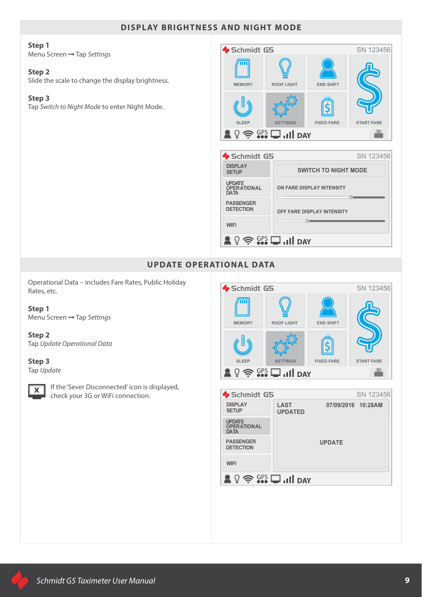# **DISPLAY BRIGHTNESS AND NIGHT MODE**

#### **Step 1**

Menu Screen Tap *Settings*

#### **Step 2**

Slide the scale to change the display brightness.

#### **Step 3**

Tap *Switch to Night Mode* to enter Night Mode.

![](_page_9_Picture_7.jpeg)

# **UPDATE OPERATIONAL DATA**

Operational Data – includes Fare Rates, Public Holiday Rates, etc.

**Step 1** Menu Screen Tap *Settings*

**Step 2** Tap *Update Operational Data*

# **Step 3**

Tap *Update*

![](_page_9_Picture_14.jpeg)

 $\overline{\mathbf{X}}$  If the 'Sever Disconnected' icon is displayed, check your 3G or WiFi connection.

![](_page_9_Picture_16.jpeg)

| $\bullet$ Schmidt G5                               |                                                                                                 |                    | SN 123456 |
|----------------------------------------------------|-------------------------------------------------------------------------------------------------|--------------------|-----------|
| <b>DISPLAY</b><br><b>SETUP</b>                     | <b>LAST</b><br><b>UPDATED</b>                                                                   | 07/09/2016 10:28AM |           |
| <b>UPDATE</b><br><b>OPERATIONAL</b><br><b>DATA</b> |                                                                                                 |                    |           |
| <b>PASSENGER</b><br><b>DETECTION</b>               |                                                                                                 | <b>UPDATE</b>      |           |
| <b>WIFI</b>                                        |                                                                                                 |                    |           |
|                                                    | $\widehat{\mathcal{F}}$ $\widehat{\mathsf{S}}$ $\widehat{\mathsf{PS}}$ $\Box$ $\Box$ $\Box$ DAY |                    |           |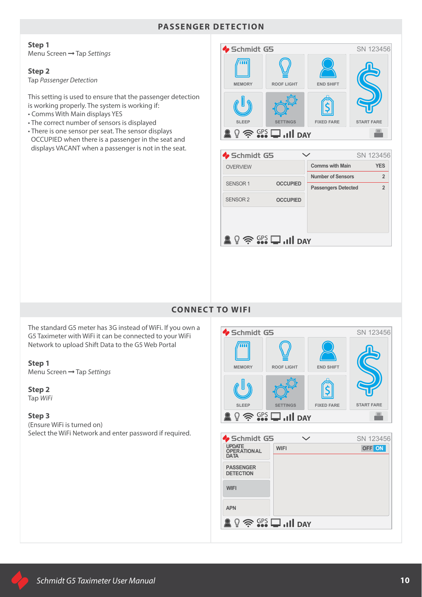### **PASSENGER DETECTION**

# **Step 1**

Menu Screen Tap *Settings*

#### **Step 2**

Tap *Passenger Detection*

This setting is used to ensure that the passenger detection is working properly. The system is working if:

- Comms With Main displays YES
- The correct number of sensors is displayed
- There is one sensor per seat. The sensor displays OCCUPIED when there is a passenger in the seat and displays VACANT when a passenger is not in the seat.

![](_page_10_Picture_9.jpeg)

![](_page_10_Picture_10.jpeg)

# **CONNECT TO WIFI**

The standard G5 meter has 3G instead of WiFi. If you own a G5 Taximeter with WiFi it can be connected to your WiFi Network to upload Shift Data to the G5 Web Portal

#### **Step 1**

Menu Screen Tap *Settings*

# **Step 2**

Tap *WiFi*

#### **Step 3**

(Ensure WiFi is turned on) Select the WiFi Network and enter password if required.

![](_page_10_Picture_19.jpeg)

| Schmidt G5                                         |                                                                    | SN 123456 |
|----------------------------------------------------|--------------------------------------------------------------------|-----------|
| <b>UPDATE</b><br><b>OPERATIONAL</b><br><b>DATA</b> | <b>WIFI</b>                                                        | OFF ON    |
| <b>PASSENGER</b><br><b>DETECTION</b>               |                                                                    |           |
| <b>WIFI</b>                                        |                                                                    |           |
| <b>APN</b>                                         |                                                                    |           |
| V                                                  | $\widehat{\mathcal{F}}$ $\widehat{\mathsf{SPS}}$ $\Box$ $\Box$ DAY |           |
|                                                    |                                                                    |           |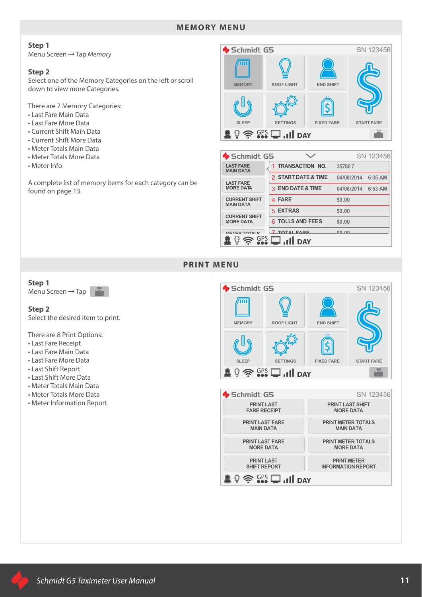# **MEMORY MENU**

#### **Step 1**

Menu Screen Tap *Memory*

#### **Step 2**

Select one of the Memory Categories on the left or scroll down to view more Categories.

There are 7 Memory Categories:

- Last Fare Main Data
- Last Fare More Data
- Current Shift Main Data
- Current Shift More Data
- Meter Totals Main Data
- Meter Totals More Data
- Meter Info

A complete list of memory items for each category can be found on page 13.

![](_page_11_Picture_14.jpeg)

| Schmidt G5                               |                                                                    |            | SN 123456 |
|------------------------------------------|--------------------------------------------------------------------|------------|-----------|
| <b>LAST FARE</b><br><b>MAIN DATA</b>     | 1 TRANSACTION NO.                                                  | 357867     |           |
| <b>LAST FARE</b>                         | 2 START DATE & TIME                                                | 04/08/2014 | 6:35 AM   |
| <b>MORE DATA</b>                         | 3 END DATE & TIME                                                  | 04/08/2014 | 6:53 AM   |
| <b>CURRENT SHIFT</b><br><b>MAIN DATA</b> | 4 FARE                                                             | \$0.00     |           |
|                                          | 5 EXTRAS                                                           | \$0.00     |           |
| <b>CURRENT SHIFT</b><br><b>MORE DATA</b> | 6 TOLLS AND FEES                                                   | \$0.00     |           |
|                                          | TOTAL EADE                                                         | CD, AD     |           |
|                                          | $\widehat{\mathcal{F}}$ $\widehat{\mathsf{SPS}}$ $\Box$ $\Box$ DAY |            |           |

#### **PRINT MENU**

# **Step 1**

Menu Screen  $\rightarrow$  Tap

#### **Step 2**

Select the desired item to print.

There are 8 Print Options:

- Last Fare Receipt
- Last Fare Main Data
- Last Fare More Data
- Last Shift Report
- Last Shift More Data
- Meter Totals Main Data
- Meter Totals More Data
- Meter Information Report

![](_page_11_Picture_30.jpeg)

**PRINT METER INFORMATION REPORT**

 $\mathbb{R} \mathbb{Q} \cong \mathbb{S}^{\text{CS}}$   $\square$  ...II day

**PRINT LAST SHIFT REPORT**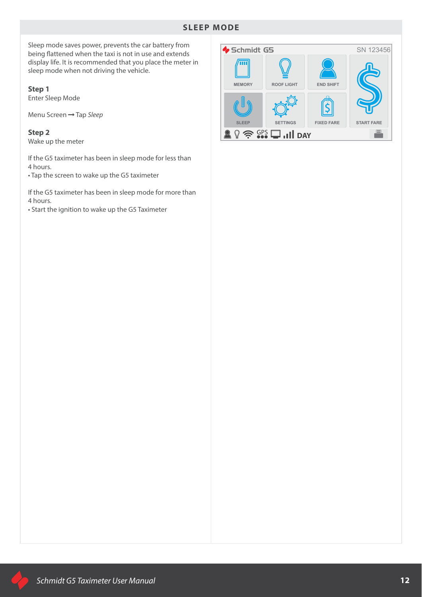# **SLEEP MODE**

Sleep mode saves power, prevents the car battery from being flattened when the taxi is not in use and extends display life. It is recommended that you place the meter in sleep mode when not driving the vehicle.

**Step 1**

Enter Sleep Mode

Menu Screen Tap *Sleep*

**Step 2** Wake up the meter

If the G5 taximeter has been in sleep mode for less than 4 hours.

• Tap the screen to wake up the G5 taximeter

If the G5 taximeter has been in sleep mode for more than 4 hours.

• Start the ignition to wake up the G5 Taximeter

![](_page_12_Figure_10.jpeg)